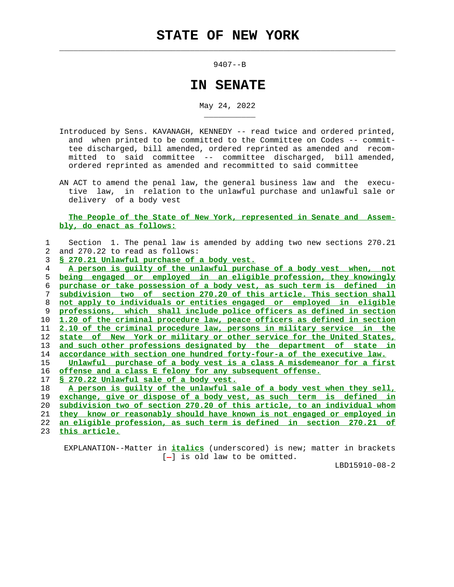$\mathcal{L}_\text{max} = \frac{1}{2} \sum_{i=1}^{n} \frac{1}{2} \sum_{i=1}^{n} \frac{1}{2} \sum_{i=1}^{n} \frac{1}{2} \sum_{i=1}^{n} \frac{1}{2} \sum_{i=1}^{n} \frac{1}{2} \sum_{i=1}^{n} \frac{1}{2} \sum_{i=1}^{n} \frac{1}{2} \sum_{i=1}^{n} \frac{1}{2} \sum_{i=1}^{n} \frac{1}{2} \sum_{i=1}^{n} \frac{1}{2} \sum_{i=1}^{n} \frac{1}{2} \sum_{i=1}^{n} \frac{1$ 

\_\_\_\_\_\_\_\_\_\_\_

9407--B

## **IN SENATE**

May 24, 2022

- Introduced by Sens. KAVANAGH, KENNEDY -- read twice and ordered printed, and when printed to be committed to the Committee on Codes -- commit tee discharged, bill amended, ordered reprinted as amended and recom mitted to said committee -- committee discharged, bill amended, ordered reprinted as amended and recommitted to said committee
- AN ACT to amend the penal law, the general business law and the execu tive law, in relation to the unlawful purchase and unlawful sale or delivery of a body vest

## **The People of the State of New York, represented in Senate and Assem bly, do enact as follows:**

|               | Section 1. The penal law is amended by adding two new sections 270.21    |
|---------------|--------------------------------------------------------------------------|
| $\mathcal{L}$ | and 270.22 to read as follows:                                           |
| 3             | § 270.21 Unlawful purchase of a body vest.                               |
| 4             | A person is quilty of the unlawful purchase of a body vest when, not     |
| 5.            | being engaged or employed in an eligible profession, they knowingly      |
| 6             | purchase or take possession of a body vest, as such term is defined in   |
| 7             | subdivision two of section 270.20 of this article. This section shall    |
| 8             | not apply to individuals or entities engaged or employed in eligible     |
| 9             | professions, which shall include police officers as defined in section   |
| 10            | 1.20 of the criminal procedure law, peace officers as defined in section |
| 11            | 2.10 of the criminal procedure law, persons in military service in the   |
| 12            | state of New York or military or other service for the United States,    |
| 13            | and such other professions designated by the department of state in      |
| 14            | accordance with section one hundred forty-four-a of the executive law.   |
| 15            | Unlawful purchase of a body vest is a class A misdemeanor for a first    |
| 16            | offense and a class E felony for any subsequent offense.                 |
| $17 \,$       | § 270.22 Unlawful sale of a body vest.                                   |
| 18            | A person is quilty of the unlawful sale of a body vest when they sell,   |
| 19            | exchange, give or dispose of a body vest, as such term is defined in     |
| 20            | subdivision two of section 270.20 of this article, to an individual whom |
| 21            | they know or reasonably should have known is not engaged or employed in  |

22 **an eligible profession, as such term is defined in section 270.21 of**

23 **this article.**

 EXPLANATION--Matter in **italics** (underscored) is new; matter in brackets  $[-]$  is old law to be omitted.

LBD15910-08-2